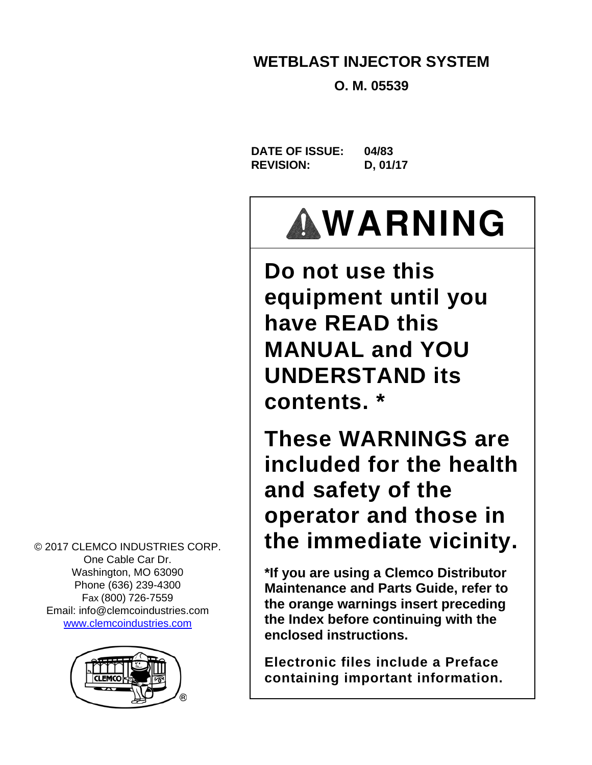### **WETBLAST INJECTOR SYSTEM**

**O. M. 05539** 

**DATE OF ISSUE: 04/83 REVISION: D, 01/17** 

# **WARNING**

**Do not use this equipment until you have READ this MANUAL and YOU UNDERSTAND its contents. \*** 

**These WARNINGS are included for the health and safety of the operator and those in the immediate vicinity.** 

**\*If you are using a Clemco Distributor Maintenance and Parts Guide, refer to the orange warnings insert preceding the Index before continuing with the enclosed instructions.** 

**Electronic files include a Preface containing important information.**

© 2017 CLEMCO INDUSTRIES CORP. One Cable Car Dr. Washington, MO 63090 Phone (636) 239-4300 Fax (800) 726-7559 Email: info@clemcoindustries.com www.clemcoindustries.com

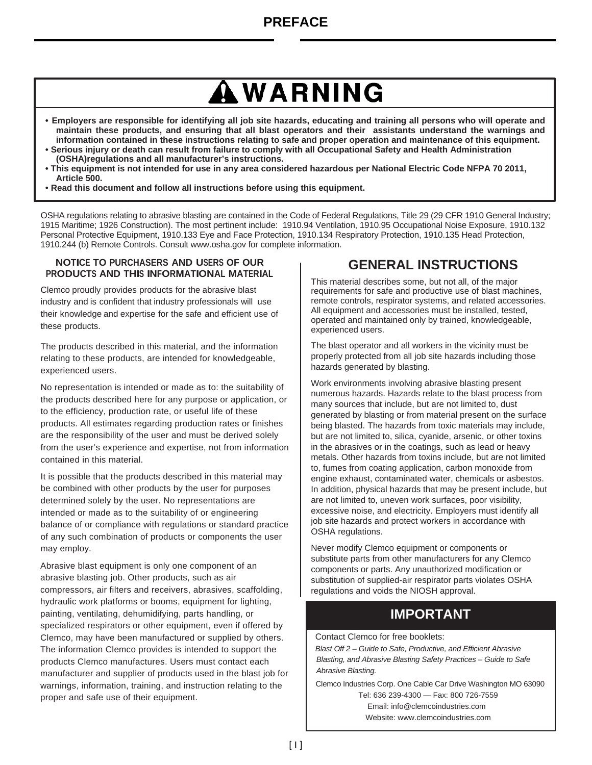## **WARNING**

- **Employers are responsible for identifying all job site hazards, educating and training all persons who will operate and maintain these products, and ensuring that all blast operators and their assistants understand the warnings and information contained in these instructions relating to safe and proper operation and maintenance of this equipment.**
- **Serious injury or death can result from failure to comply with all Occupational Safety and Health Administration (OSHA)regulations and all manufacturer's instructions.**
- **This equipment is not intended for use in any area considered hazardous per National Electric Code NFPA 70 2011, Article 500.**
- **Read this document and follow all instructions before using this equipment.**

OSHA regulations relating to abrasive blasting are contained in the Code of Federal Regulations, Title 29 (29 CFR 1910 General Industry; 1915 Maritime; 1926 Construction). The most pertinent include: 1910.94 Ventilation, 1910.95 Occupational Noise Exposure, 1910.132 Personal Protective Equipment, 1910.133 Eye and Face Protection, 1910.134 Respiratory Protection, 1910.135 Head Protection, 1910.244 (b) Remote Controls. Consult www.osha.gov for complete information.

#### **NOTICE TO PURCHASERS AND USERS OF OUR PRODUCTS AND THIS INFORMATIONAL MATERIAL**

Clemco proudly provides products for the abrasive blast industry and is confident that industry professionals will use their knowledge and expertise for the safe and efficient use of these products.

The products described in this material, and the information relating to these products, are intended for knowledgeable, experienced users.

No representation is intended or made as to: the suitability of the products described here for any purpose or application, or to the efficiency, production rate, or useful life of these products. All estimates regarding production rates or finishes are the responsibility of the user and must be derived solely from the user's experience and expertise, not from information contained in this material.

It is possible that the products described in this material may be combined with other products by the user for purposes determined solely by the user. No representations are intended or made as to the suitability of or engineering balance of or compliance with regulations or standard practice of any such combination of products or components the user may employ.

Abrasive blast equipment is only one component of an abrasive blasting job. Other products, such as air compressors, air filters and receivers, abrasives, scaffolding, hydraulic work platforms or booms, equipment for lighting, painting, ventilating, dehumidifying, parts handling, or specialized respirators or other equipment, even if offered by Clemco, may have been manufactured or supplied by others. The information Clemco provides is intended to support the products Clemco manufactures. Users must contact each manufacturer and supplier of products used in the blast job for warnings, information, training, and instruction relating to the proper and safe use of their equipment.

#### **GENERAL INSTRUCTIONS**

This material describes some, but not all, of the major requirements for safe and productive use of blast machines, remote controls, respirator systems, and related accessories. All equipment and accessories must be installed, tested, operated and maintained only by trained, knowledgeable, experienced users.

The blast operator and all workers in the vicinity must be properly protected from all job site hazards including those hazards generated by blasting.

Work environments involving abrasive blasting present numerous hazards. Hazards relate to the blast process from many sources that include, but are not limited to, dust generated by blasting or from material present on the surface being blasted. The hazards from toxic materials may include, but are not limited to, silica, cyanide, arsenic, or other toxins in the abrasives or in the coatings, such as lead or heavy metals. Other hazards from toxins include, but are not limited to, fumes from coating application, carbon monoxide from engine exhaust, contaminated water, chemicals or asbestos. In addition, physical hazards that may be present include, but are not limited to, uneven work surfaces, poor visibility, excessive noise, and electricity. Employers must identify all job site hazards and protect workers in accordance with OSHA regulations.

Never modify Clemco equipment or components or substitute parts from other manufacturers for any Clemco components or parts. Any unauthorized modification or substitution of supplied-air respirator parts violates OSHA regulations and voids the NIOSH approval.

#### **IMPORTANT**

Contact Clemco for free booklets:

*Blast Off 2 – Guide to Safe, Productive, and Efficient Abrasive Blasting, and Abrasive Blasting Safety Practices – Guide to Safe Abrasive Blasting.*

Clemco Industries Corp. One Cable Car Drive Washington MO 63090 Tel: 636 239-4300 — Fax: 800 726-7559 Email: info@clemcoindustries.com Website: www.clemcoindustries.com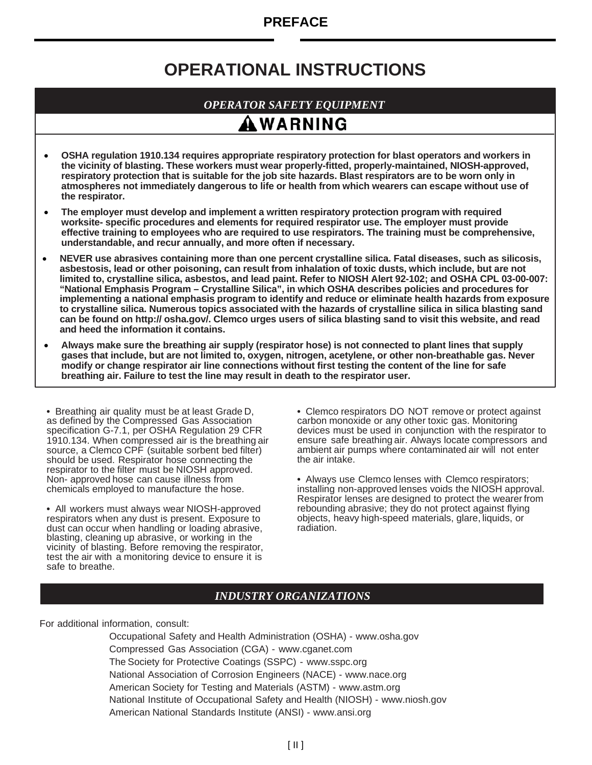#### **PREFACE**

### **OPERATIONAL INSTRUCTIONS**

#### *OPERATOR SAFETY EQUIPMENT*

### AWARNING

- **OSHA regulation 1910.134 requires appropriate respiratory protection for blast operators and workers in the vicinity of blasting. These workers must wear properly-fitted, properly-maintained, NIOSH-approved, respiratory protection that is suitable for the job site hazards. Blast respirators are to be worn only in atmospheres not immediately dangerous to life or health from which wearers can escape without use of the respirator.**
- **The employer must develop and implement a written respiratory protection program with required worksite- specific procedures and elements for required respirator use. The employer must provide effective training to employees who are required to use respirators. The training must be comprehensive, understandable, and recur annually, and more often if necessary.**
- **NEVER use abrasives containing more than one percent crystalline silica. Fatal diseases, such as silicosis, asbestosis, lead or other poisoning, can result from inhalation of toxic dusts, which include, but are not limited to, crystalline silica, asbestos, and lead paint. Refer to NIOSH Alert 92-102; and OSHA CPL 03-00-007: "National Emphasis Program – Crystalline Silica", in which OSHA describes policies and procedures for implementing a national emphasis program to identify and reduce or eliminate health hazards from exposure to crystalline silica. Numerous topics associated with the hazards of crystalline silica in silica blasting sand can be found on http:// osha.gov/. Clemco urges users of silica blasting sand to visit this website, and read and heed the information it contains.**
- **Always make sure the breathing air supply (respirator hose) is not connected to plant lines that supply gases that include, but are not limited to, oxygen, nitrogen, acetylene, or other non-breathable gas. Never modify or change respirator air line connections without first testing the content of the line for safe breathing air. Failure to test the line may result in death to the respirator user.**

**•** Breathing air quality must be at least Grade D, as defined by the Compressed Gas Association specification G-7.1, per OSHA Regulation 29 CFR 1910.134. When compressed air is the breathing air source, a Clemco CPF (suitable sorbent bed filter) should be used. Respirator hose connecting the respirator to the filter must be NIOSH approved. Non- approved hose can cause illness from chemicals employed to manufacture the hose.

**•** All workers must always wear NIOSH-approved respirators when any dust is present. Exposure to dust can occur when handling or loading abrasive, blasting, cleaning up abrasive, or working in the vicinity of blasting. Before removing the respirator, test the air with a monitoring device to ensure it is safe to breathe.

**•** Clemco respirators DO NOT remove or protect against carbon monoxide or any other toxic gas. Monitoring devices must be used in conjunction with the respirator to ensure safe breathing air. Always locate compressors and ambient air pumps where contaminated air will not enter the air intake.

**•** Always use Clemco lenses with Clemco respirators; installing non-approved lenses voids the NIOSH approval. Respirator lenses are designed to protect the wearer from rebounding abrasive; they do not protect against flying objects, heavy high-speed materials, glare, liquids, or radiation.

#### *INDUSTRY ORGANIZATIONS*

For additional information, consult:

Occupational Safety and Health Administration (OSHA) - www.osha.gov Compressed Gas Association (CGA) - www.cganet.com The Society for Protective Coatings (SSPC) - www.sspc.org National Association of Corrosion Engineers (NACE) - www.nace.org American Society for Testing and Materials (ASTM) - www.astm.org National Institute of Occupational Safety and Health (NIOSH) - www.niosh.gov American National Standards Institute (ANSI) - www.ansi.org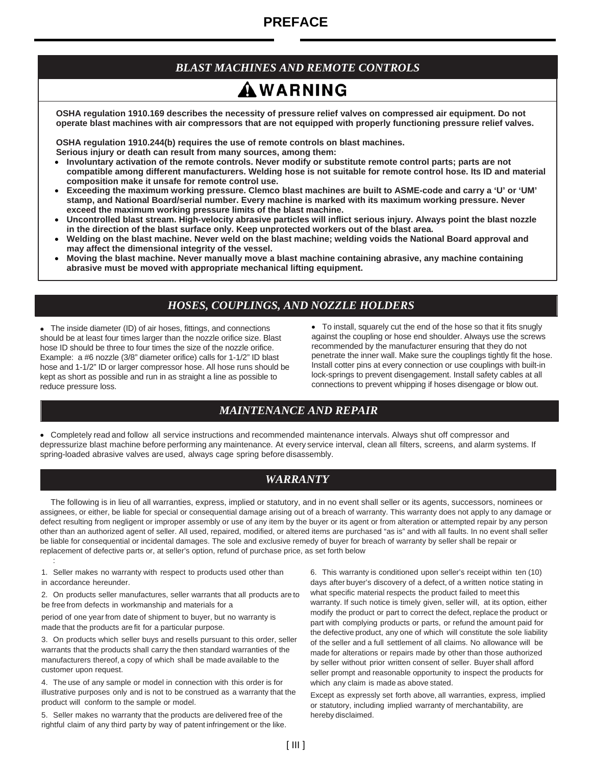### **PREFACE**

#### *BLAST MACHINES AND REMOTE CONTROLS*

### AWARNING

**OSHA regulation 1910.169 describes the necessity of pressure relief valves on compressed air equipment. Do not operate blast machines with air compressors that are not equipped with properly functioning pressure relief valves.**

**OSHA regulation 1910.244(b) requires the use of remote controls on blast machines. Serious injury or death can result from many sources, among them:**

- **Involuntary activation of the remote controls. Never modify or substitute remote control parts; parts are not compatible among different manufacturers. Welding hose is not suitable for remote control hose. Its ID and material composition make it unsafe for remote control use.**
- **Exceeding the maximum working pressure. Clemco blast machines are built to ASME-code and carry a 'U' or 'UM' stamp, and National Board/serial number. Every machine is marked with its maximum working pressure. Never exceed the maximum working pressure limits of the blast machine.**
- **Uncontrolled blast stream. High-velocity abrasive particles will inflict serious injury. Always point the blast nozzle in the direction of the blast surface only. Keep unprotected workers out of the blast area.**
- **Welding on the blast machine. Never weld on the blast machine; welding voids the National Board approval and may affect the dimensional integrity of the vessel.**
- **Moving the blast machine. Never manually move a blast machine containing abrasive, any machine containing abrasive must be moved with appropriate mechanical lifting equipment.**

#### *HOSES, COUPLINGS, AND NOZZLE HOLDERS*

 The inside diameter (ID) of air hoses, fittings, and connections should be at least four times larger than the nozzle orifice size. Blast hose ID should be three to four times the size of the nozzle orifice. Example: a #6 nozzle (3/8" diameter orifice) calls for 1-1/2" ID blast hose and 1-1/2" ID or larger compressor hose. All hose runs should be kept as short as possible and run in as straight a line as possible to reduce pressure loss.

 To install, squarely cut the end of the hose so that it fits snugly against the coupling or hose end shoulder. Always use the screws recommended by the manufacturer ensuring that they do not penetrate the inner wall. Make sure the couplings tightly fit the hose. Install cotter pins at every connection or use couplings with built-in lock-springs to prevent disengagement. Install safety cables at all connections to prevent whipping if hoses disengage or blow out.

#### *MAINTENANCE AND REPAIR*

 Completely read and follow all service instructions and recommended maintenance intervals. Always shut off compressor and depressurize blast machine before performing any maintenance. At every service interval, clean all filters, screens, and alarm systems. If spring-loaded abrasive valves are used, always cage spring before disassembly.

#### *WARRANTY*

 The following is in lieu of all warranties, express, implied or statutory, and in no event shall seller or its agents, successors, nominees or assignees, or either, be liable for special or consequential damage arising out of a breach of warranty. This warranty does not apply to any damage or defect resulting from negligent or improper assembly or use of any item by the buyer or its agent or from alteration or attempted repair by any person other than an authorized agent of seller. All used, repaired, modified, or altered items are purchased "as is" and with all faults. In no event shall seller be liable for consequential or incidental damages. The sole and exclusive remedy of buyer for breach of warranty by seller shall be repair or replacement of defective parts or, at seller's option, refund of purchase price, as set forth below :

1. Seller makes no warranty with respect to products used other than in accordance hereunder.

2. On products seller manufactures, seller warrants that all products are to be free from defects in workmanship and materials for a

period of one year from date of shipment to buyer, but no warranty is made that the products are fit for a particular purpose.

3. On products which seller buys and resells pursuant to this order, seller warrants that the products shall carry the then standard warranties of the manufacturers thereof, a copy of which shall be made available to the customer upon request.

4. The use of any sample or model in connection with this order is for illustrative purposes only and is not to be construed as a warranty that the product will conform to the sample or model.

5. Seller makes no warranty that the products are delivered free of the rightful claim of any third party by way of patent infringement or the like. 6. This warranty is conditioned upon seller's receipt within ten (10) days after buyer's discovery of a defect, of a written notice stating in what specific material respects the product failed to meet this warranty. If such notice is timely given, seller will, at its option, either modify the product or part to correct the defect, replace the product or part with complying products or parts, or refund the amount paid for the defective product, any one of which will constitute the sole liability of the seller and a full settlement of all claims. No allowance will be made for alterations or repairs made by other than those authorized by seller without prior written consent of seller. Buyer shall afford seller prompt and reasonable opportunity to inspect the products for which any claim is made as above stated.

Except as expressly set forth above, all warranties, express, implied or statutory, including implied warranty of merchantability, are hereby disclaimed.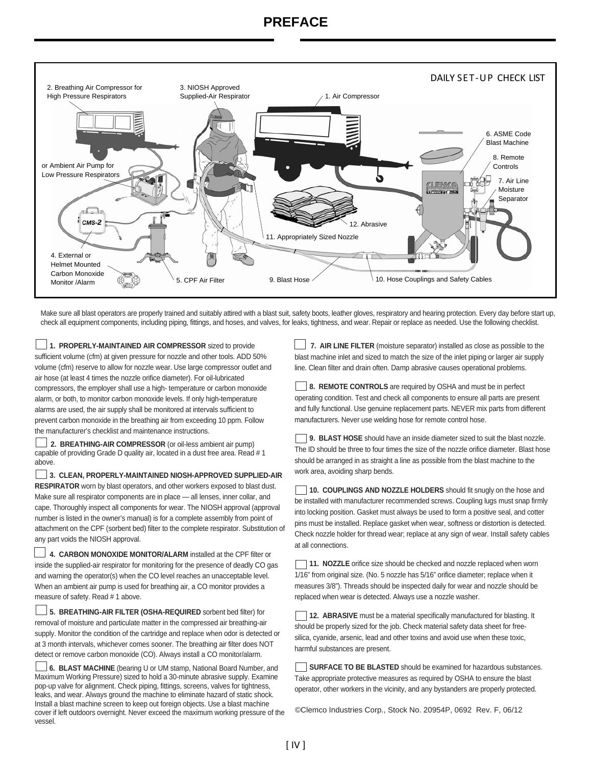#### **PREFACE**



Make sure all blast operators are properly trained and suitably attired with a blast suit, safety boots, leather gloves, respiratory and hearing protection. Every day before start up, check all equipment components, including piping, fittings, and hoses, and valves, for leaks, tightness, and wear. Repair or replace as needed. Use the following checklist.

**1. PROPERLY-MAINTAINED AIR COMPRESSOR** sized to provide sufficient volume (cfm) at given pressure for nozzle and other tools. ADD 50% volume (cfm) reserve to allow for nozzle wear. Use large compressor outlet and air hose (at least 4 times the nozzle orifice diameter). For oil-lubricated compressors, the employer shall use a high- temperature or carbon monoxide alarm, or both, to monitor carbon monoxide levels. If only high-temperature alarms are used, the air supply shall be monitored at intervals sufficient to prevent carbon monoxide in the breathing air from exceeding 10 ppm. Follow the manufacturer's checklist and maintenance instructions.

**2. BREATHING-AIR COMPRESSOR** (or oil-less ambient air pump) capable of providing Grade D quality air, located in a dust free area. Read # 1 above.

**3. CLEAN, PROPERLY-MAINTAINED NIOSH-APPROVED SUPPLIED-AIR RESPIRATOR** worn by blast operators, and other workers exposed to blast dust. Make sure all respirator components are in place — all lenses, inner collar, and cape. Thoroughly inspect all components for wear. The NIOSH approval (approval number is listed in the owner's manual) is for a complete assembly from point of attachment on the CPF (sorbent bed) filter to the complete respirator. Substitution of any part voids the NIOSH approval.

**4. CARBON MONOXIDE MONITOR/ALARM** installed at the CPF filter or inside the supplied-air respirator for monitoring for the presence of deadly CO gas and warning the operator(s) when the CO level reaches an unacceptable level. When an ambient air pump is used for breathing air, a CO monitor provides a measure of safety. Read # 1 above.

**5. BREATHING-AIR FILTER (OSHA-REQUIRED** sorbent bed filter) for removal of moisture and particulate matter in the compressed air breathing-air supply. Monitor the condition of the cartridge and replace when odor is detected or at 3 month intervals, whichever comes sooner. The breathing air filter does NOT detect or remove carbon monoxide (CO). Always install a CO monitor/alarm.

**6. BLAST MACHINE** (bearing U or UM stamp, National Board Number, and Maximum Working Pressure) sized to hold a 30-minute abrasive supply. Examine pop-up valve for alignment. Check piping, fittings, screens, valves for tightness, leaks, and wear. Always ground the machine to eliminate hazard of static shock. Install a blast machine screen to keep out foreign objects. Use a blast machine cover if left outdoors overnight. Never exceed the maximum working pressure of the vessel.

**7. AIR LINE FILTER** (moisture separator) installed as close as possible to the blast machine inlet and sized to match the size of the inlet piping or larger air supply line. Clean filter and drain often. Damp abrasive causes operational problems.

**8. REMOTE CONTROLS** are required by OSHA and must be in perfect operating condition. Test and check all components to ensure all parts are present and fully functional. Use genuine replacement parts. NEVER mix parts from different manufacturers. Never use welding hose for remote control hose.

**9. BLAST HOSE** should have an inside diameter sized to suit the blast nozzle. The ID should be three to four times the size of the nozzle orifice diameter. Blast hose should be arranged in as straight a line as possible from the blast machine to the work area, avoiding sharp bends.

**10. COUPLINGS AND NOZZLE HOLDERS** should fit snugly on the hose and be installed with manufacturer recommended screws. Coupling lugs must snap firmly into locking position. Gasket must always be used to form a positive seal, and cotter pins must be installed. Replace gasket when wear, softness or distortion is detected. Check nozzle holder for thread wear; replace at any sign of wear. Install safety cables at all connections.

**11. NOZZLE** orifice size should be checked and nozzle replaced when worn 1/16" from original size. (No. 5 nozzle has 5/16" orifice diameter; replace when it measures 3/8"). Threads should be inspected daily for wear and nozzle should be replaced when wear is detected. Always use a nozzle washer.

**12. ABRASIVE** must be a material specifically manufactured for blasting. It should be properly sized for the job. Check material safety data sheet for freesilica, cyanide, arsenic, lead and other toxins and avoid use when these toxic, harmful substances are present.

**SURFACE TO BE BLASTED** should be examined for hazardous substances. Take appropriate protective measures as required by OSHA to ensure the blast operator, other workers in the vicinity, and any bystanders are properly protected.

©Clemco Industries Corp., Stock No. 20954P, 0692 Rev. F, 06/12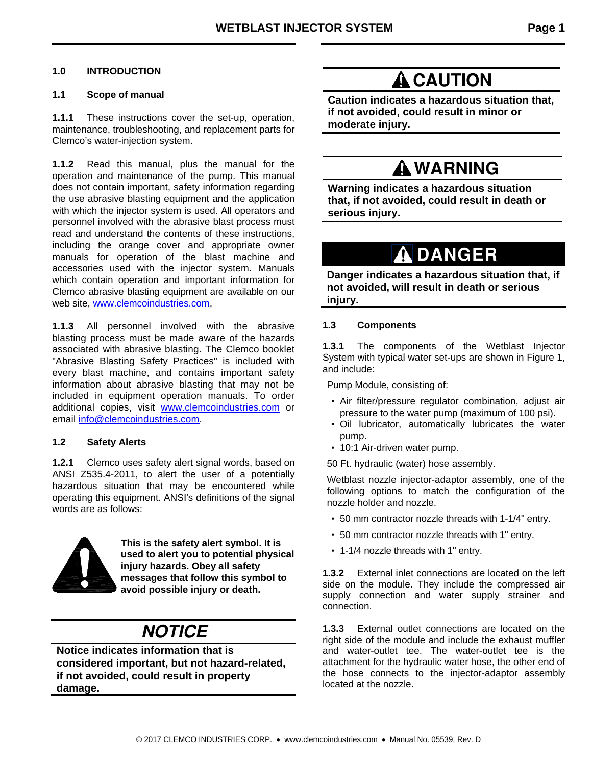#### **1.0 INTRODUCTION**

#### **1.1 Scope of manual**

**1.1.1** These instructions cover the set-up, operation, maintenance, troubleshooting, and replacement parts for Clemco's water-injection system.

**1.1.2** Read this manual, plus the manual for the operation and maintenance of the pump. This manual does not contain important, safety information regarding the use abrasive blasting equipment and the application with which the injector system is used. All operators and personnel involved with the abrasive blast process must read and understand the contents of these instructions, including the orange cover and appropriate owner manuals for operation of the blast machine and accessories used with the injector system. Manuals which contain operation and important information for Clemco abrasive blasting equipment are available on our web site, www.clemcoindustries.com,

**1.1.3** All personnel involved with the abrasive blasting process must be made aware of the hazards associated with abrasive blasting. The Clemco booklet "Abrasive Blasting Safety Practices" is included with every blast machine, and contains important safety information about abrasive blasting that may not be included in equipment operation manuals. To order additional copies, visit www.clemcoindustries.com or email info@clemcoindustries.com.

#### **1.2 Safety Alerts**

**1.2.1** Clemco uses safety alert signal words, based on ANSI Z535.4-2011, to alert the user of a potentially hazardous situation that may be encountered while operating this equipment. ANSI's definitions of the signal words are as follows:



**This is the safety alert symbol. It is used to alert you to potential physical injury hazards. Obey all safety messages that follow this symbol to avoid possible injury or death.** 

### **NOTICE**

**Notice indicates information that is considered important, but not hazard-related, if not avoided, could result in property damage.** 

### **A** CAUTION

**Caution indicates a hazardous situation that, if not avoided, could result in minor or moderate injury.**

### **WARNING**

**Warning indicates a hazardous situation that, if not avoided, could result in death or serious injury.**

### **DANGER**

**Danger indicates a hazardous situation that, if not avoided, will result in death or serious injury.** 

#### **1.3 Components**

**1.3.1** The components of the Wetblast Injector System with typical water set-ups are shown in Figure 1, and include:

Pump Module, consisting of:

- Air filter/pressure regulator combination, adjust air pressure to the water pump (maximum of 100 psi).
- Oil lubricator, automatically lubricates the water pump.
- 10:1 Air-driven water pump.

50 Ft. hydraulic (water) hose assembly.

Wetblast nozzle injector-adaptor assembly, one of the following options to match the configuration of the nozzle holder and nozzle.

- 50 mm contractor nozzle threads with 1-1/4" entry.
- 50 mm contractor nozzle threads with 1" entry.
- 1-1/4 nozzle threads with 1" entry.

**1.3.2** External inlet connections are located on the left side on the module. They include the compressed air supply connection and water supply strainer and connection.

**1.3.3** External outlet connections are located on the right side of the module and include the exhaust muffler and water-outlet tee. The water-outlet tee is the attachment for the hydraulic water hose, the other end of the hose connects to the injector-adaptor assembly located at the nozzle.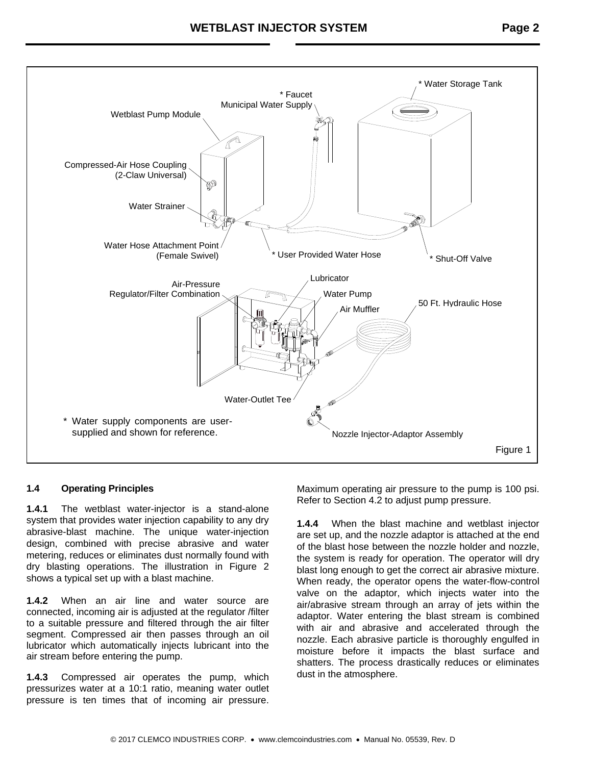

#### **1.4 Operating Principles**

**1.4.1** The wetblast water-injector is a stand-alone system that provides water injection capability to any dry abrasive-blast machine. The unique water-injection design, combined with precise abrasive and water metering, reduces or eliminates dust normally found with dry blasting operations. The illustration in Figure 2 shows a typical set up with a blast machine.

**1.4.2** When an air line and water source are connected, incoming air is adjusted at the regulator /filter to a suitable pressure and filtered through the air filter segment. Compressed air then passes through an oil lubricator which automatically injects lubricant into the air stream before entering the pump.

**1.4.3** Compressed air operates the pump, which pressurizes water at a 10:1 ratio, meaning water outlet pressure is ten times that of incoming air pressure.

Maximum operating air pressure to the pump is 100 psi. Refer to Section 4.2 to adjust pump pressure.

**1.4.4** When the blast machine and wetblast injector are set up, and the nozzle adaptor is attached at the end of the blast hose between the nozzle holder and nozzle, the system is ready for operation. The operator will dry blast long enough to get the correct air abrasive mixture. When ready, the operator opens the water-flow-control valve on the adaptor, which injects water into the air/abrasive stream through an array of jets within the adaptor. Water entering the blast stream is combined with air and abrasive and accelerated through the nozzle. Each abrasive particle is thoroughly engulfed in moisture before it impacts the blast surface and shatters. The process drastically reduces or eliminates dust in the atmosphere.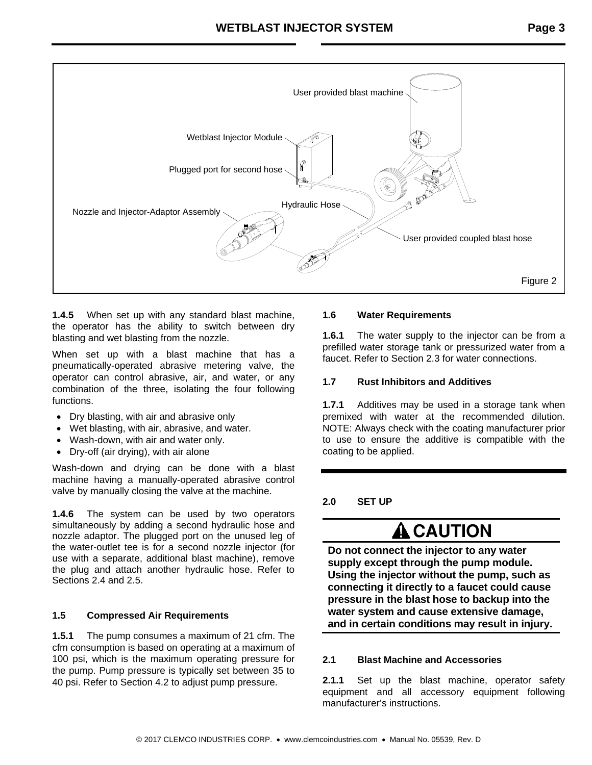

**1.4.5** When set up with any standard blast machine, the operator has the ability to switch between dry blasting and wet blasting from the nozzle.

When set up with a blast machine that has a pneumatically-operated abrasive metering valve, the operator can control abrasive, air, and water, or any combination of the three, isolating the four following functions.

- Dry blasting, with air and abrasive only
- Wet blasting, with air, abrasive, and water.
- Wash-down, with air and water only.
- Dry-off (air drying), with air alone

Wash-down and drying can be done with a blast machine having a manually-operated abrasive control valve by manually closing the valve at the machine.

**1.4.6** The system can be used by two operators simultaneously by adding a second hydraulic hose and nozzle adaptor. The plugged port on the unused leg of the water-outlet tee is for a second nozzle injector (for use with a separate, additional blast machine), remove the plug and attach another hydraulic hose. Refer to Sections 2.4 and 2.5.

#### **1.5 Compressed Air Requirements**

**1.5.1** The pump consumes a maximum of 21 cfm. The cfm consumption is based on operating at a maximum of 100 psi, which is the maximum operating pressure for the pump. Pump pressure is typically set between 35 to 40 psi. Refer to Section 4.2 to adjust pump pressure.

#### **1.6 Water Requirements**

**1.6.1** The water supply to the injector can be from a prefilled water storage tank or pressurized water from a faucet. Refer to Section 2.3 for water connections.

#### **1.7 Rust Inhibitors and Additives**

**1.7.1** Additives may be used in a storage tank when premixed with water at the recommended dilution. NOTE: Always check with the coating manufacturer prior to use to ensure the additive is compatible with the coating to be applied.

**2.0 SET UP** 

### **A** CAUTION

**Do not connect the injector to any water supply except through the pump module. Using the injector without the pump, such as connecting it directly to a faucet could cause pressure in the blast hose to backup into the water system and cause extensive damage, and in certain conditions may result in injury.**

#### **2.1 Blast Machine and Accessories**

**2.1.1** Set up the blast machine, operator safety equipment and all accessory equipment following manufacturer's instructions.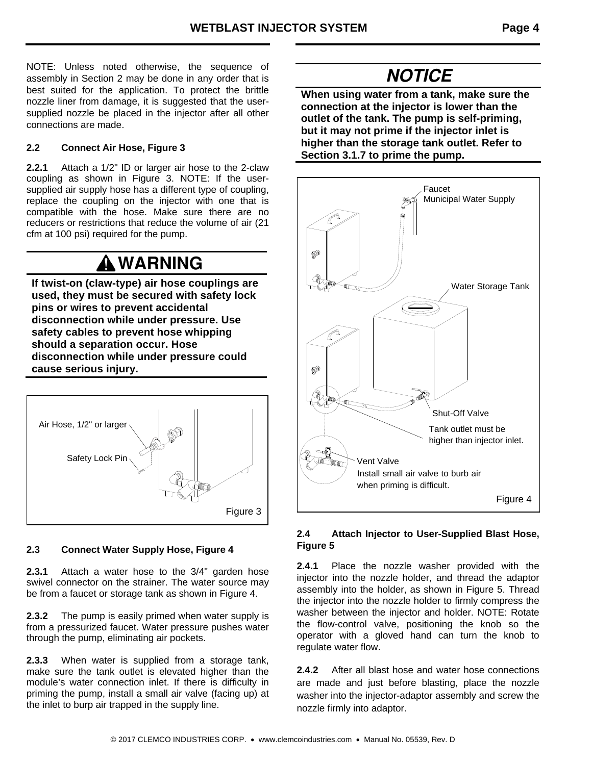NOTE: Unless noted otherwise, the sequence of assembly in Section 2 may be done in any order that is best suited for the application. To protect the brittle nozzle liner from damage, it is suggested that the usersupplied nozzle be placed in the injector after all other connections are made.

#### **2.2 Connect Air Hose, Figure 3**

**2.2.1** Attach a 1/2" ID or larger air hose to the 2-claw coupling as shown in Figure 3. NOTE: If the usersupplied air supply hose has a different type of coupling, replace the coupling on the injector with one that is compatible with the hose. Make sure there are no reducers or restrictions that reduce the volume of air (21 cfm at 100 psi) required for the pump.

### **WARNING**

**If twist-on (claw-type) air hose couplings are used, they must be secured with safety lock pins or wires to prevent accidental disconnection while under pressure. Use safety cables to prevent hose whipping should a separation occur. Hose disconnection while under pressure could cause serious injury.**



#### **2.3 Connect Water Supply Hose, Figure 4**

**2.3.1** Attach a water hose to the 3/4" garden hose swivel connector on the strainer. The water source may be from a faucet or storage tank as shown in Figure 4.

**2.3.2** The pump is easily primed when water supply is from a pressurized faucet. Water pressure pushes water through the pump, eliminating air pockets.

**2.3.3** When water is supplied from a storage tank, make sure the tank outlet is elevated higher than the module's water connection inlet. If there is difficulty in priming the pump, install a small air valve (facing up) at the inlet to burp air trapped in the supply line.

### **NOTICE**

**When using water from a tank, make sure the connection at the injector is lower than the outlet of the tank. The pump is self-priming, but it may not prime if the injector inlet is higher than the storage tank outlet. Refer to Section 3.1.7 to prime the pump.** 



#### **2.4 Attach Injector to User-Supplied Blast Hose, Figure 5**

**2.4.1** Place the nozzle washer provided with the injector into the nozzle holder, and thread the adaptor assembly into the holder, as shown in Figure 5. Thread the injector into the nozzle holder to firmly compress the washer between the injector and holder. NOTE: Rotate the flow-control valve, positioning the knob so the operator with a gloved hand can turn the knob to regulate water flow.

**2.4.2** After all blast hose and water hose connections are made and just before blasting, place the nozzle washer into the injector-adaptor assembly and screw the nozzle firmly into adaptor.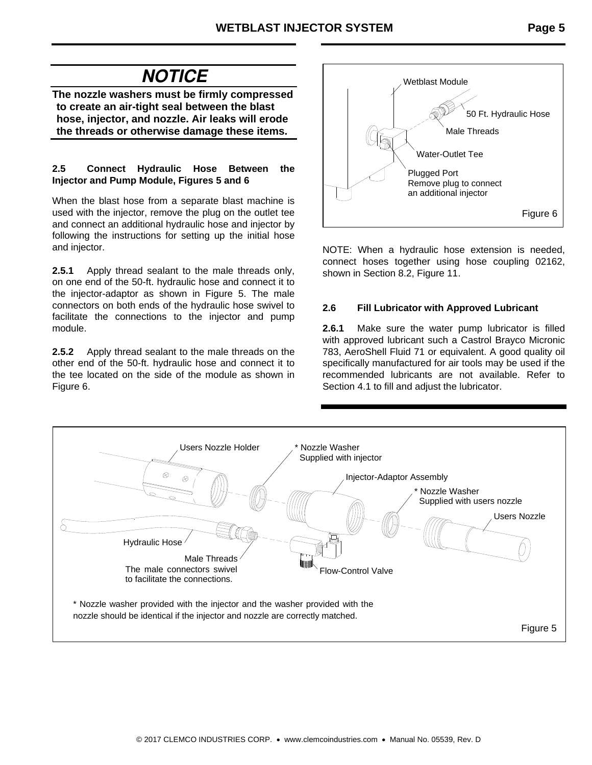### **NOTICE**

**The nozzle washers must be firmly compressed to create an air-tight seal between the blast hose, injector, and nozzle. Air leaks will erode the threads or otherwise damage these items.** 

#### **2.5 Connect Hydraulic Hose Between the Injector and Pump Module, Figures 5 and 6**

When the blast hose from a separate blast machine is used with the injector, remove the plug on the outlet tee and connect an additional hydraulic hose and injector by following the instructions for setting up the initial hose and injector.

**2.5.1** Apply thread sealant to the male threads only, on one end of the 50-ft. hydraulic hose and connect it to the injector-adaptor as shown in Figure 5. The male connectors on both ends of the hydraulic hose swivel to facilitate the connections to the injector and pump module.

**2.5.2** Apply thread sealant to the male threads on the other end of the 50-ft. hydraulic hose and connect it to the tee located on the side of the module as shown in Figure 6.



NOTE: When a hydraulic hose extension is needed, connect hoses together using hose coupling 02162, shown in Section 8.2, Figure 11.

#### **2.6 Fill Lubricator with Approved Lubricant**

**2.6.1** Make sure the water pump lubricator is filled with approved lubricant such a Castrol Brayco Micronic 783, AeroShell Fluid 71 or equivalent. A good quality oil specifically manufactured for air tools may be used if the recommended lubricants are not available. Refer to Section 4.1 to fill and adjust the lubricator.

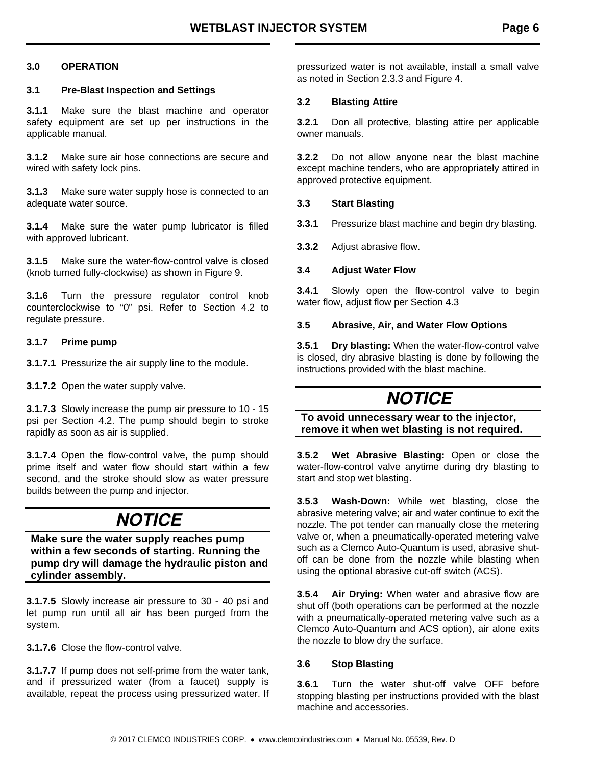#### **3.0 OPERATION**

#### **3.1 Pre-Blast Inspection and Settings**

**3.1.1** Make sure the blast machine and operator safety equipment are set up per instructions in the applicable manual.

**3.1.2** Make sure air hose connections are secure and wired with safety lock pins.

**3.1.3** Make sure water supply hose is connected to an adequate water source.

**3.1.4** Make sure the water pump lubricator is filled with approved lubricant.

**3.1.5** Make sure the water-flow-control valve is closed (knob turned fully-clockwise) as shown in Figure 9.

**3.1.6** Turn the pressure regulator control knob counterclockwise to "0" psi. Refer to Section 4.2 to regulate pressure.

#### **3.1.7 Prime pump**

**3.1.7.1** Pressurize the air supply line to the module.

**3.1.7.2** Open the water supply valve.

**3.1.7.3** Slowly increase the pump air pressure to 10 - 15 psi per Section 4.2. The pump should begin to stroke rapidly as soon as air is supplied.

**3.1.7.4** Open the flow-control valve, the pump should prime itself and water flow should start within a few second, and the stroke should slow as water pressure builds between the pump and injector.

### **NOTICE**

**Make sure the water supply reaches pump within a few seconds of starting. Running the pump dry will damage the hydraulic piston and cylinder assembly.** 

**3.1.7.5** Slowly increase air pressure to 30 - 40 psi and let pump run until all air has been purged from the system.

**3.1.7.6** Close the flow-control valve.

**3.1.7.7** If pump does not self-prime from the water tank, and if pressurized water (from a faucet) supply is available, repeat the process using pressurized water. If pressurized water is not available, install a small valve as noted in Section 2.3.3 and Figure 4.

#### **3.2 Blasting Attire**

**3.2.1** Don all protective, blasting attire per applicable owner manuals.

**3.2.2** Do not allow anyone near the blast machine except machine tenders, who are appropriately attired in approved protective equipment.

#### **3.3 Start Blasting**

- **3.3.1** Pressurize blast machine and begin dry blasting.
- **3.3.2** Adjust abrasive flow.

#### **3.4 Adjust Water Flow**

**3.4.1** Slowly open the flow-control valve to begin water flow, adjust flow per Section 4.3

#### **3.5 Abrasive, Air, and Water Flow Options**

**3.5.1 Dry blasting:** When the water-flow-control valve is closed, dry abrasive blasting is done by following the instructions provided with the blast machine.

### **NOTICE**

**To avoid unnecessary wear to the injector, remove it when wet blasting is not required.** 

**3.5.2 Wet Abrasive Blasting:** Open or close the water-flow-control valve anytime during dry blasting to start and stop wet blasting.

**3.5.3 Wash-Down:** While wet blasting, close the abrasive metering valve; air and water continue to exit the nozzle. The pot tender can manually close the metering valve or, when a pneumatically-operated metering valve such as a Clemco Auto-Quantum is used, abrasive shutoff can be done from the nozzle while blasting when using the optional abrasive cut-off switch (ACS).

**3.5.4 Air Drying:** When water and abrasive flow are shut off (both operations can be performed at the nozzle with a pneumatically-operated metering valve such as a Clemco Auto-Quantum and ACS option), air alone exits the nozzle to blow dry the surface.

#### **3.6 Stop Blasting**

**3.6.1** Turn the water shut-off valve OFF before stopping blasting per instructions provided with the blast machine and accessories.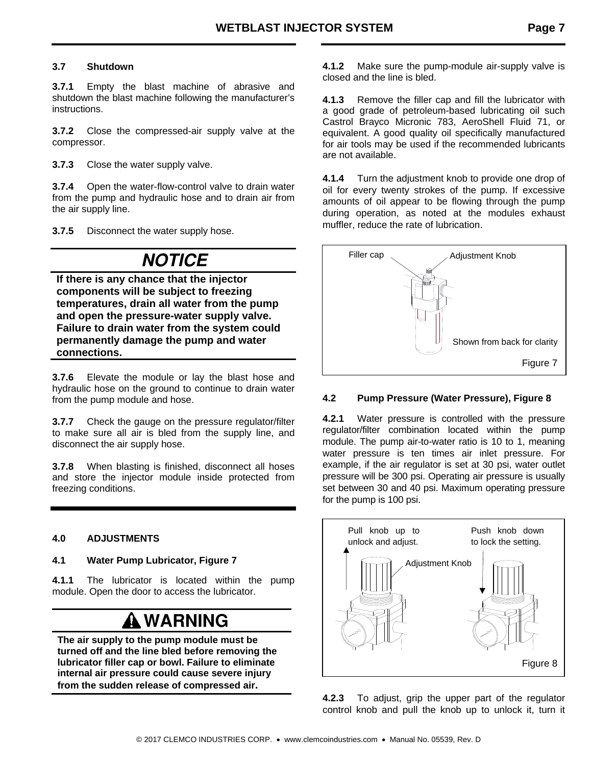#### **3.7 Shutdown**

**3.7.1** Empty the blast machine of abrasive and shutdown the blast machine following the manufacturer's instructions.

**3.7.2** Close the compressed-air supply valve at the compressor.

**3.7.3** Close the water supply valve.

**3.7.4** Open the water-flow-control valve to drain water from the pump and hydraulic hose and to drain air from the air supply line.

**3.7.5** Disconnect the water supply hose.

### **NOTICE**

**If there is any chance that the injector components will be subject to freezing temperatures, drain all water from the pump and open the pressure-water supply valve. Failure to drain water from the system could permanently damage the pump and water connections.**

**3.7.6** Elevate the module or lay the blast hose and hydraulic hose on the ground to continue to drain water from the pump module and hose.

**3.7.7** Check the gauge on the pressure regulator/filter to make sure all air is bled from the supply line, and disconnect the air supply hose.

**3.7.8** When blasting is finished, disconnect all hoses and store the injector module inside protected from freezing conditions.

#### **4.0 ADJUSTMENTS**

**4.1 Water Pump Lubricator, Figure 7** 

**4.1.1** The lubricator is located within the pump module. Open the door to access the lubricator.

## **WARNING**

**The air supply to the pump module must be turned off and the line bled before removing the lubricator filler cap or bowl. Failure to eliminate internal air pressure could cause severe injury from the sudden release of compressed air.**

**4.1.2** Make sure the pump-module air-supply valve is closed and the line is bled.

**4.1.3** Remove the filler cap and fill the lubricator with a good grade of petroleum-based lubricating oil such Castrol Brayco Micronic 783, AeroShell Fluid 71, or equivalent. A good quality oil specifically manufactured for air tools may be used if the recommended lubricants are not available.

**4.1.4** Turn the adjustment knob to provide one drop of oil for every twenty strokes of the pump. If excessive amounts of oil appear to be flowing through the pump during operation, as noted at the modules exhaust muffler, reduce the rate of lubrication.



#### **4.2 Pump Pressure (Water Pressure), Figure 8**

**4.2.1** Water pressure is controlled with the pressure regulator/filter combination located within the pump module. The pump air-to-water ratio is 10 to 1, meaning water pressure is ten times air inlet pressure. For example, if the air regulator is set at 30 psi, water outlet pressure will be 300 psi. Operating air pressure is usually set between 30 and 40 psi. Maximum operating pressure for the pump is 100 psi.



**4.2.3** To adjust, grip the upper part of the regulator control knob and pull the knob up to unlock it, turn it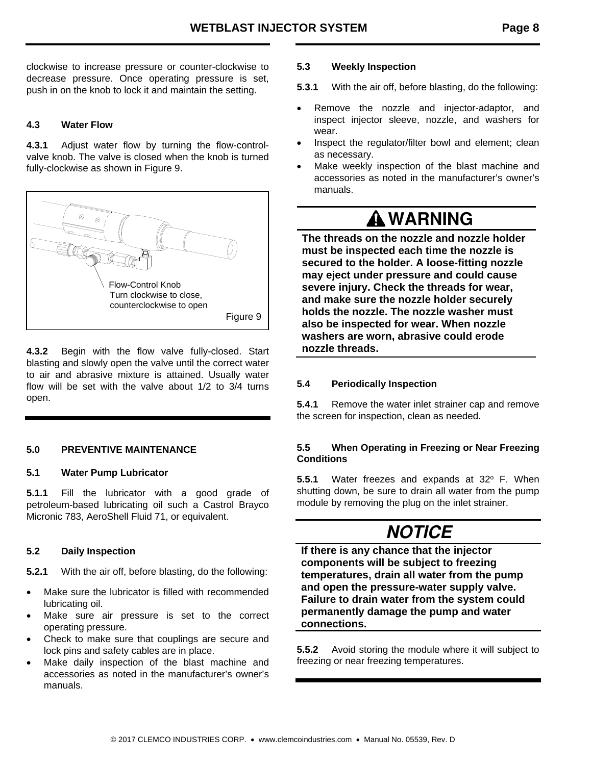clockwise to increase pressure or counter-clockwise to decrease pressure. Once operating pressure is set, push in on the knob to lock it and maintain the setting.

#### **4.3 Water Flow**

**4.3.1** Adjust water flow by turning the flow-controlvalve knob. The valve is closed when the knob is turned fully-clockwise as shown in Figure 9.



**4.3.2** Begin with the flow valve fully-closed. Start blasting and slowly open the valve until the correct water to air and abrasive mixture is attained. Usually water flow will be set with the valve about 1/2 to 3/4 turns open.

#### **5.0 PREVENTIVE MAINTENANCE**

#### **5.1 Water Pump Lubricator**

**5.1.1** Fill the lubricator with a good grade of petroleum-based lubricating oil such a Castrol Brayco Micronic 783, AeroShell Fluid 71, or equivalent.

#### **5.2 Daily Inspection**

**5.2.1** With the air off, before blasting, do the following:

- Make sure the lubricator is filled with recommended lubricating oil.
- Make sure air pressure is set to the correct operating pressure.
- Check to make sure that couplings are secure and lock pins and safety cables are in place.
- Make daily inspection of the blast machine and accessories as noted in the manufacturer's owner's manuals.

#### **5.3 Weekly Inspection**

**5.3.1** With the air off, before blasting, do the following:

- Remove the nozzle and injector-adaptor, and inspect injector sleeve, nozzle, and washers for wear.
- Inspect the regulator/filter bowl and element; clean as necessary.
- Make weekly inspection of the blast machine and accessories as noted in the manufacturer's owner's manuals.

### **WARNING**

**The threads on the nozzle and nozzle holder must be inspected each time the nozzle is secured to the holder. A loose-fitting nozzle may eject under pressure and could cause severe injury. Check the threads for wear, and make sure the nozzle holder securely holds the nozzle. The nozzle washer must also be inspected for wear. When nozzle washers are worn, abrasive could erode nozzle threads.**

#### **5.4 Periodically Inspection**

**5.4.1** Remove the water inlet strainer cap and remove the screen for inspection, clean as needed.

#### **5.5 When Operating in Freezing or Near Freezing Conditions**

**5.5.1** Water freezes and expands at 32° F. When shutting down, be sure to drain all water from the pump module by removing the plug on the inlet strainer.

### **NOTICE**

**If there is any chance that the injector components will be subject to freezing temperatures, drain all water from the pump and open the pressure-water supply valve. Failure to drain water from the system could permanently damage the pump and water connections.**

**5.5.2** Avoid storing the module where it will subject to freezing or near freezing temperatures.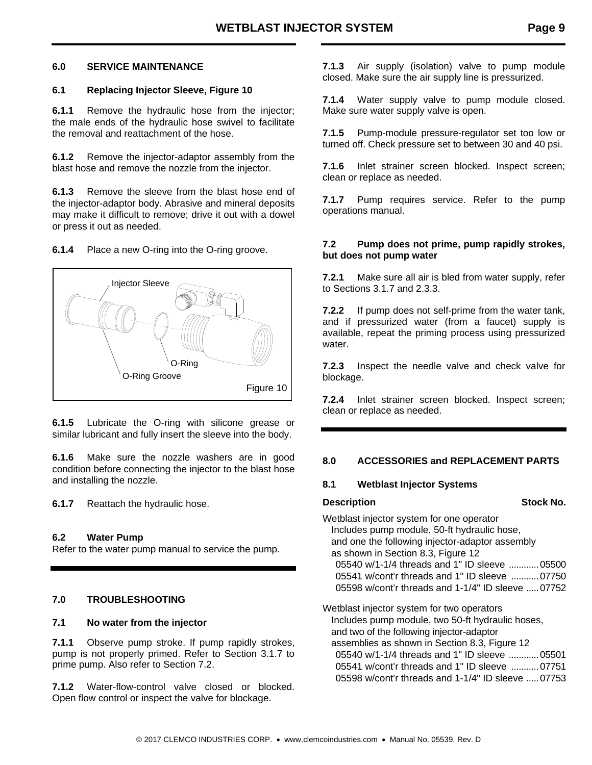#### **6.0 SERVICE MAINTENANCE**

#### **6.1 Replacing Injector Sleeve, Figure 10**

**6.1.1** Remove the hydraulic hose from the injector; the male ends of the hydraulic hose swivel to facilitate the removal and reattachment of the hose.

**6.1.2** Remove the injector-adaptor assembly from the blast hose and remove the nozzle from the injector.

**6.1.3** Remove the sleeve from the blast hose end of the injector-adaptor body. Abrasive and mineral deposits may make it difficult to remove; drive it out with a dowel or press it out as needed.

**6.1.4** Place a new O-ring into the O-ring groove.



**6.1.5** Lubricate the O-ring with silicone grease or similar lubricant and fully insert the sleeve into the body.

**6.1.6** Make sure the nozzle washers are in good condition before connecting the injector to the blast hose and installing the nozzle.

**6.1.7** Reattach the hydraulic hose.

#### **6.2 Water Pump**

Refer to the water pump manual to service the pump.

#### **7.0 TROUBLESHOOTING**

#### **7.1 No water from the injector**

**7.1.1** Observe pump stroke. If pump rapidly strokes, pump is not properly primed. Refer to Section 3.1.7 to prime pump. Also refer to Section 7.2.

**7.1.2** Water-flow-control valve closed or blocked. Open flow control or inspect the valve for blockage.

**7.1.3** Air supply (isolation) valve to pump module closed. Make sure the air supply line is pressurized.

**7.1.4** Water supply valve to pump module closed. Make sure water supply valve is open.

**7.1.5** Pump-module pressure-regulator set too low or turned off. Check pressure set to between 30 and 40 psi.

**7.1.6** Inlet strainer screen blocked. Inspect screen; clean or replace as needed.

**7.1.7** Pump requires service. Refer to the pump operations manual.

#### **7.2 Pump does not prime, pump rapidly strokes, but does not pump water**

**7.2.1** Make sure all air is bled from water supply, refer to Sections 3.1.7 and 2.3.3.

**7.2.2** If pump does not self-prime from the water tank, and if pressurized water (from a faucet) supply is available, repeat the priming process using pressurized water.

**7.2.3** Inspect the needle valve and check valve for blockage.

**7.2.4** Inlet strainer screen blocked. Inspect screen; clean or replace as needed.

#### **8.0 ACCESSORIES and REPLACEMENT PARTS**

#### **8.1 Wetblast Injector Systems**

**Description Stock No. Stock No.** 

Wetblast injector system for one operator Includes pump module, 50-ft hydraulic hose, and one the following injector-adaptor assembly as shown in Section 8.3, Figure 12 05540 w/1-1/4 threads and 1" ID sleeve ............ 05500 05541 w/cont'r threads and 1" ID sleeve ........... 07750 05598 w/cont'r threads and 1-1/4" ID sleeve ..... 07752

Wetblast injector system for two operators Includes pump module, two 50-ft hydraulic hoses, and two of the following injector-adaptor assemblies as shown in Section 8.3, Figure 12 05540 w/1-1/4 threads and 1" ID sleeve ............ 05501 05541 w/cont'r threads and 1" ID sleeve ........... 07751 05598 w/cont'r threads and 1-1/4" ID sleeve ..... 07753